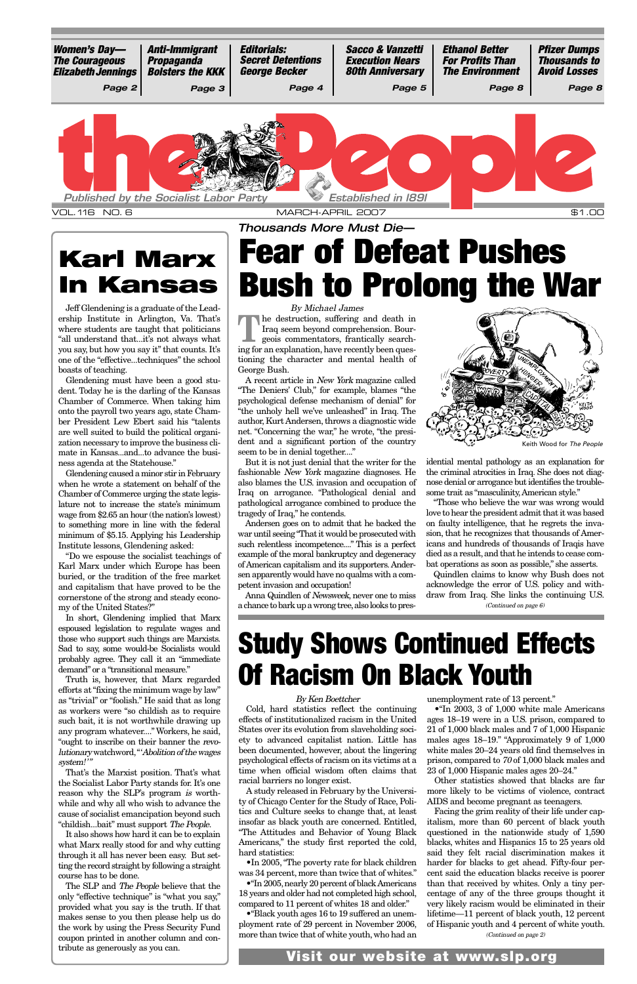By Michael James

**The destruction, suffering and death in<br>Iraq seem beyond comprehension. Bour-<br>geois commentators, frantically search-<br>ing for an explanation have recently been avec** Iraq seem beyond comprehension. Bourgeois commentators, frantically searching for an explanation, have recently been questioning the character and mental health of George Bush.

A recent article in New York magazine called "The Deniers' Club," for example, blames "the psychological defense mechanism of denial" for "the unholy hell we've unleashed" in Iraq. The author, Kurt Andersen, throws a diagnostic wide net. "Concerning the war," he wrote, "the president and a significant portion of the country seem to be in denial together...."

Anna Quindlen of Newsweek, never one to miss a chance to bark up a wrong tree, also looks to pres-

But it is not just denial that the writer for the fashionable New York magazine diagnoses. He also blames the U.S. invasion and occupation of Iraq on arrogance. "Pathological denial and pathological arrogance combined to produce the tragedy of Iraq," he contends.

Andersen goes on to admit that he backed the war until seeing "That it would be prosecuted with such relentless incompetence...." This is a perfect example of the moral bankruptcy and degeneracy of American capitalism and its supporters.Andersen apparently would have no qualms with a competent invasion and occupation!

idential mental pathology as an explanation for the criminal atrocities in Iraq. She does not diagnose denial or arrogance but identifies the troublesome trait as "masculinity,American style."

"Those who believe the war was wrong would love to hear the president admit that it was based on faulty intelligence, that he regrets the invasion, that he recognizes that thousands of Americans and hundreds of thousands of Iraqis have died as a result, and that he intends to cease combat operations as soon as possible," she asserts.

• "In 2003, 3 of 1,000 white male Americans ages 18–19 were in a U.S. prison, compared to 21 of 1,000 black males and 7 of 1,000 Hispanic males ages 18–19." "Approximately 9 of 1,000 white males 20–24 years old find themselves in prison, compared to 70 of 1,000 black males and 23 of 1,000 Hispanic males ages 20–24."

#### By Ken Boettcher

Cold, hard statistics reflect the continuing effects of institutionalized racism in the United States over its evolution from slaveholding society to advanced capitalist nation. Little has been documented, however, about the lingering psychological effects of racism on its victims at a time when official wisdom often claims that racial barriers no longer exist. A study released in February by the University of Chicago Center for the Study of Race, Politics and Culture seeks to change that, at least insofar as black youth are concerned. Entitled, "The Attitudes and Behavior of Young Black Americans," the study first reported the cold, hard statistics:

•In 2005, "The poverty rate for black children was 34 percent, more than twice that of whites."

•"In 2005,nearly 20 percent of black Americans 18 years and older had not completed high school, compared to 11 percent of whites 18 and older."

•"Black youth ages 16 to 19 suffered an unemployment rate of 29 percent in November 2006, more than twice that of white youth, who had an unemployment rate of 13 percent."

Other statistics showed that blacks are far more likely to be victims of violence, contract AIDS and become pregnant as teenagers.

Facing the grim reality of their life under capitalism, more than 60 percent of black youth questioned in the nationwide study of 1,590 blacks, whites and Hispanics 15 to 25 years old said they felt racial discrimination makes it harder for blacks to get ahead. Fifty-four percent said the education blacks receive is poorer than that received by whites. Only a tiny percentage of any of the three groups thought it very likely racism would be eliminated in their lifetime—11 percent of black youth, 12 percent of Hispanic youth and 4 percent of white youth.

## **Study Shows Continued Effects Of Racism On Black Youth**

Jeff Glendening is a graduate of the Leadership Institute in Arlington, Va. That's where students are taught that politicians "all understand that...it's not always what you say, but how you say it" that counts. It's one of the "effective...techniques" the school boasts of teaching.

> Quindlen claims to know why Bush does not acknowledge the error of U.S. policy and withdraw from Iraq. She links the continuing U.S. (Continued on page 6)



### **Fear of Defeat Pushes Bush to Prolong the War** Thousands More Must Die—

Glendening must have been a good student. Today he is the darling of the Kansas Chamber of Commerce. When taking him onto the payroll two years ago, state Chamber President Lew Ebert said his "talents are well suited to build the political organization necessary to improve the business climate in Kansas...and...to advance the business agenda at the Statehouse."

Glendening caused a minor stir in February when he wrote a statement on behalf of the Chamber of Commerce urging the state legislature not to increase the state's minimum wage from \$2.65 an hour (the nation's lowest) to something more in line with the federal minimum of \$5.15. Applying his Leadership Institute lessons, Glendening asked:

"Do we espouse the socialist teachings of Karl Marx under which Europe has been buried, or the tradition of the free market and capitalism that have proved to be the cornerstone of the strong and steady economy of the United States?"

In short, Glendening implied that Marx espoused legislation to regulate wages and those who support such things are Marxists. Sad to say, some would-be Socialists would probably agree. They call it an "immediate demand" or a "transitional measure."

Truth is, however, that Marx regarded efforts at "fixing the minimum wage by law" as "trivial" or "foolish." He said that as long as workers were "so childish as to require such bait, it is not worthwhile drawing up any program whatever...." Workers, he said, "ought to inscribe on their banner the revolutionary watchword,"'Abolition of the wages system!'" That's the Marxist position. That's what the Socialist Labor Party stands for. It's one reason why the SLP's program is worthwhile and why all who wish to advance the cause of socialist emancipation beyond such "childish...bait" must support The People. It also shows how hard it can be to explain what Marx really stood for and why cutting through it all has never been easy. But setting the record straight by following a straight course has to be done. The SLP and The People believe that the only "effective technique" is "what you say," provided what you say is the truth. If that makes sense to you then please help us do the work by using the Press Security Fund coupon printed in another column and contribute as generously as you can.

## **Karl Marx In Kansas**

(Continued on page 2)

**Visit our website at www.slp.org**

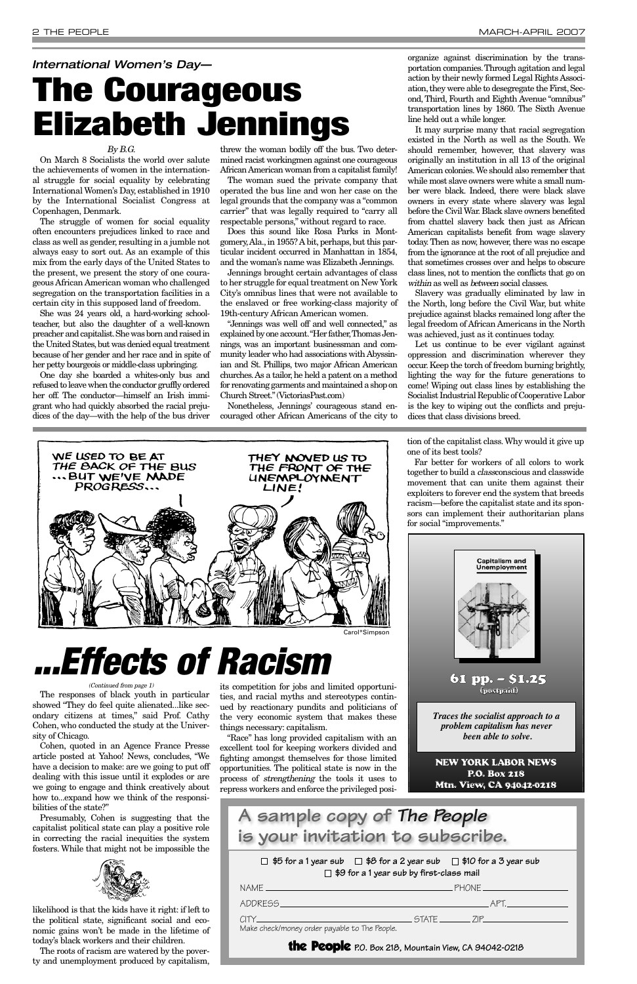The responses of black youth in particular showed "They do feel quite alienated...like secondary citizens at times," said Prof. Cathy

Cohen, who conducted the study at the University of Chicago.

Cohen, quoted in an Agence France Presse article posted at Yahoo! News, concludes, "We have a decision to make: are we going to put off dealing with this issue until it explodes or are we going to engage and think creatively about how to...expand how we think of the responsibilities of the state?"

Presumably, Cohen is suggesting that the capitalist political state can play a positive role in correcting the racial inequities the system fosters. While that might not be impossible the



likelihood is that the kids have it right: if left to the political state, significant social and economic gains won't be made in the lifetime of today's black workers and their children.

The roots of racism are watered by the poverty and unemployment produced by capitalism,

its competition for jobs and limited opportunities, and racial myths and stereotypes continued by reactionary pundits and politicians of the very economic system that makes these

things necessary: capitalism.

"Race" has long provided capitalism with an excellent tool for keeping workers divided and fighting amongst themselves for those limited opportunities. The political state is now in the process of strengthening the tools it uses to repress workers and enforce the privileged position of the capitalist class.Why would it give up one of its best tools?

Far better for workers of all colors to work together to build a classconscious and classwide movement that can unite them against their exploiters to forever end the system that breeds racism—before the capitalist state and its sponsors can implement their authoritarian plans for social "improvements."

#### By B.G.

On March 8 Socialists the world over salute the achievements of women in the international struggle for social equality by celebrating International Women's Day, established in 1910 by the International Socialist Congress at Copenhagen, Denmark.

It may surprise many that racial segregation existed in the North as well as the South. We should remember, however, that slavery was originally an institution in all 13 of the original American colonies.We should also remember that while most slave owners were white a small number were black. Indeed, there were black slave owners in every state where slavery was legal before the Civil War. Black slave owners benefited from chattel slavery back then just as African American capitalists benefit from wage slavery today. Then as now, however, there was no escape from the ignorance at the root of all prejudice and that sometimes crosses over and helps to obscure class lines, not to mention the conflicts that go on within as well as *between* social classes.

The struggle of women for social equality often encounters prejudices linked to race and class as well as gender, resulting in a jumble not always easy to sort out. As an example of this mix from the early days of the United States to the present, we present the story of one courageous African American woman who challenged segregation on the transportation facilities in a certain city in this supposed land of freedom.

She was 24 years old, a hard-working schoolteacher, but also the daughter of a well-known preacher and capitalist.She was born and raised in the United States, but was denied equal treatment because of her gender and her race and in spite of her petty bourgeois or middle-class upbringing.

One day she boarded a whites-only bus and refused to leave when the conductor gruffly ordered her off. The conductor—himself an Irish immigrant who had quickly absorbed the racial prejudices of the day—with the help of the bus driver

threw the woman bodily off the bus. Two determined racist workingmen against one courageous African American woman from a capitalist family!

The woman sued the private company that operated the bus line and won her case on the legal grounds that the company was a "common carrier" that was legally required to "carry all respectable persons," without regard to race.

Does this sound like Rosa Parks in Montgomery, Ala., in 1955? A bit, perhaps, but this particular incident occurred in Manhattan in 1854, and the woman's name was Elizabeth Jennings.

Jennings brought certain advantages of class to her struggle for equal treatment on New York City's omnibus lines that were not available to the enslaved or free working-class majority of 19th-century African American women.

"Jennings was well off and well connected," as explained by one account."Her father,Thomas Jennings, was an important businessman and community leader who had associations with Abyssinian and St. Phillips, two major African American churches.As a tailor, he held a patent on a method for renovating garments and maintained a shop on Church Street." (VictoriasPast.com)

Nonetheless, Jennings' courageous stand encouraged other African Americans of the city to organize against discrimination by the transportation companies.Through agitation and legal action by their newly formed Legal Rights Association, they were able to desegregate the First, Second, Third, Fourth and Eighth Avenue "omnibus" transportation lines by 1860. The Sixth Avenue line held out a while longer.

Slavery was gradually eliminated by law in the North, long before the Civil War, but white prejudice against blacks remained long after the legal freedom of African Americans in the North was achieved, just as it continues today.

Let us continue to be ever vigilant against oppression and discrimination wherever they occur. Keep the torch of freedom burning brightly, lighting the way for the future generations to come! Wiping out class lines by establishing the Socialist Industrial Republic of Cooperative Labor is the key to wiping out the conflicts and prejudices that class divisions breed.

|                                                 | $\Box$ \$5 for a 1 year sub $\Box$ \$8 for a 2 year sub $\Box$ \$10 for a 3 year sub |  |
|-------------------------------------------------|--------------------------------------------------------------------------------------|--|
| $\Box$ \$9 for a 1 year sub by first-class mail |                                                                                      |  |

|                                               | PHONE ____________________ |
|-----------------------------------------------|----------------------------|
|                                               |                            |
| <b>CITY</b>                                   | STATE<br>$\sqrt{1}$        |
| Make check/money order payable to The People. |                            |

the People **P.O. Box 218, Mountain View, CA 94042-0218**

| A sample copy of The People      |
|----------------------------------|
| is your invitation to subscribe. |

## **The Courageous Elizabeth Jennings**

International Women's Day—

(Continued from page 1)



**. . . Effects of Racism**



*problem capitalism has never been able to solve.*

NEW YORK LABOR NEWS P.O. Box 218 Mtn. View, CA 94042-0218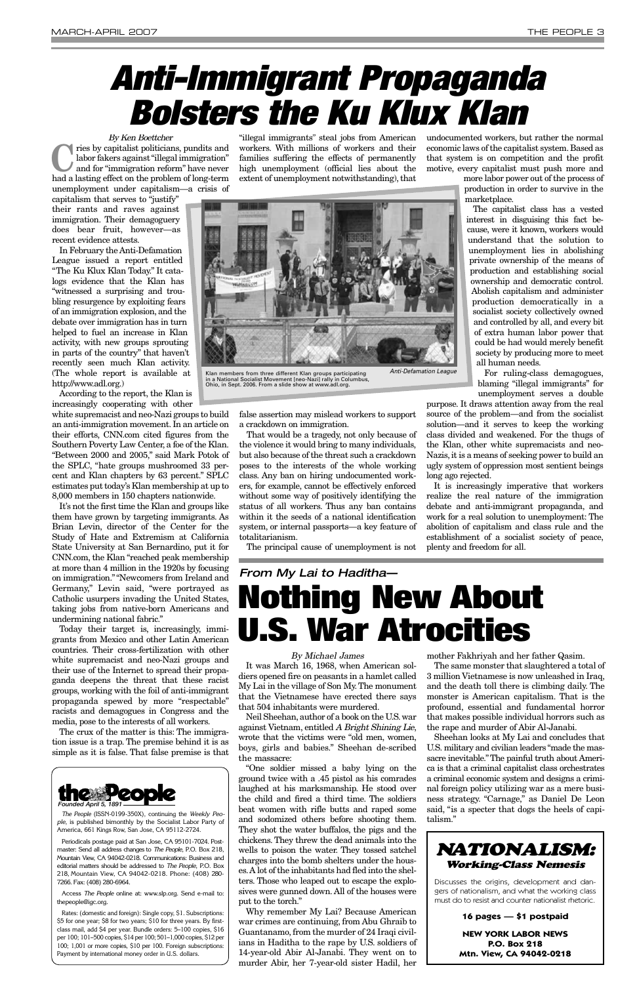By Ken Boettcher

Tries by capitalist politicians, pundits and<br>
labor fakers against "illegal immigration"<br>
and for "immigration reform" have never labor fakers against "illegal immigration" had a lasting effect on the problem of long-term unemployment under capitalism—a crisis of

capitalism that serves to "justify" their rants and raves against immigration. Their demagoguery does bear fruit, however—as recent evidence attests.

In February the Anti-Defamation League issued a report entitled "The Ku Klux Klan Today." It catalogs evidence that the Klan has "witnessed a surprising and troubling resurgence by exploiting fears of an immigration explosion, and the debate over immigration has in turn helped to fuel an increase in Klan activity, with new groups sprouting in parts of the country" that haven't recently seen much Klan activity. (The whole report is available at http://www.adl.org.)

According to the report, the Klan is increasingly cooperating with other

white supremacist and neo-Nazi groups to build an anti-immigration movement. In an article on their efforts, CNN.com cited figures from the Southern Poverty Law Center, a foe of the Klan. "Between 2000 and 2005," said Mark Potok of the SPLC, "hate groups mushroomed 33 percent and Klan chapters by 63 percent." SPLC estimates put today's Klan membership at up to 8,000 members in 150 chapters nationwide.

It's not the first time the Klan and groups like them have grown by targeting immigrants. As Brian Levin, director of the Center for the Study of Hate and Extremism at California State University at San Bernardino, put it for CNN.com, the Klan "reached peak membership at more than 4 million in the 1920s by focusing on immigration." "Newcomers from Ireland and Germany," Levin said, "were portrayed as Catholic usurpers invading the United States, taking jobs from native-born Americans and undermining national fabric."

Today their target is, increasingly, immigrants from Mexico and other Latin American countries. Their cross-fertilization with other white supremacist and neo-Nazi groups and their use of the Internet to spread their propaganda deepens the threat that these racist groups, working with the foil of anti-immigrant propaganda spewed by more "respectable" racists and demagogues in Congress and the media, pose to the interests of all workers.

The crux of the matter is this: The immigration issue is a trap. The premise behind it is as simple as it is false. That false premise is that

"illegal immigrants" steal jobs from American workers. With millions of workers and their



Klan members from three different Klan groups participating Anti-Defamation League<br>in a National Socialist Movement [neo-Nazi] rally in Columbus, Ohio, in Sept. 2006. From a slide show at www.adl.org.

families suffering the effects of permanently high unemployment (official lies about the extent of unemployment notwithstanding), that

false assertion may mislead workers to support a crackdown on immigration.

That would be a tragedy, not only because of the violence it would bring to many individuals, but also because of the threat such a crackdown poses to the interests of the whole working class. Any ban on hiring undocumented workers, for example, cannot be effectively enforced without some way of positively identifying the status of all workers. Thus any ban contains within it the seeds of a national identification system, or internal passports—a key feature of totalitarianism.

The principal cause of unemployment is not

undocumented workers, but rather the normal economic laws of the capitalist system. Based as that system is on competition and the profit motive, every capitalist must push more and

> more labor power out of the process of production in order to survive in the marketplace.

The capitalist class has a vested interest in disguising this fact because, were it known, workers would understand that the solution to unemployment lies in abolishing private ownership of the means of production and establishing social ownership and democratic control. Abolish capitalism and administer production democratically in a socialist society collectively owned and controlled by all, and every bit of extra human labor power that could be had would merely benefit society by producing more to meet all human needs.

For ruling-class demagogues, blaming "illegal immigrants" for unemployment serves a double

purpose. It draws attention away from the real source of the problem—and from the socialist solution—and it serves to keep the working class divided and weakened. For the thugs of the Klan, other white supremacists and neo-Nazis, it is a means of seeking power to build an ugly system of oppression most sentient beings long ago rejected.

It is increasingly imperative that workers realize the real nature of the immigration debate and anti-immigrant propaganda, and work for a real solution to unemployment: The abolition of capitalism and class rule and the establishment of a socialist society of peace, plenty and freedom for all.

## **Anti-Immigrant Propaganda Bolsters the Ku Klux Klan**



The People (ISSN-0199-350X), continuing the Weekly People, is published bimonthly by the Socialist Labor Party of America, 661 Kings Row, San Jose, CA 95112-2724.

Periodicals postage paid at San Jose, CA 95101-7024. Postmaster: Send all address changes to The People, P.O. Box 218, Mountain View, CA 94042-0218. Communications: Business and editorial matters should be addressed to The People, P.O. Box 218, Mountain View, CA 94042-0218. Phone: (408) 280- 7266. Fax: (408) 280-6964.

Access The People online at: www.slp.org. Send e-mail to: thepeople@igc.org.

Rates: (domestic and foreign): Single copy, \$1. Subscriptions: \$5 for one year; \$8 for two years; \$10 for three years. By firstclass mail, add \$4 per year. Bundle orders: 5–100 copies, \$16 per 100; 101–500 copies, \$14 per 100; 501–1,000 copies, \$12 per 100; 1,001 or more copies, \$10 per 100. Foreign subscriptions: Payment by international money order in U.S. dollars.

#### By Michael James

It was March 16, 1968, when American soldiers opened fire on peasants in a hamlet called My Lai in the village of Son My.The monument that the Vietnamese have erected there says that 504 inhabitants were murdered.

Neil Sheehan, author of a book on the U.S. war

against Vietnam, entitled A Bright Shining Lie, wrote that the victims were "old men, women, boys, girls and babies." Sheehan de-scribed the massacre:

"One soldier missed a baby lying on the ground twice with a .45 pistol as his comrades laughed at his marksmanship. He stood over the child and fired a third time. The soldiers beat women with rifle butts and raped some and sodomized others before shooting them. They shot the water buffalos, the pigs and the chickens. They threw the dead animals into the wells to poison the water. They tossed satchel charges into the bomb shelters under the houses.A lot of the inhabitants had fled into the shelters. Those who leaped out to escape the explosives were gunned down. All of the houses were put to the torch."

Why remember My Lai? Because American war crimes are continuing, from Abu Ghraib to Guantanamo, from the murder of 24 Iraqi civilians in Haditha to the rape by U.S. soldiers of 14-year-old Abir Al-Janabi. They went on to murder Abir, her 7-year-old sister Hadil, her mother Fakhriyah and her father Qasim.

The same monster that slaughtered a total of 3 million Vietnamese is now unleashed in Iraq, and the death toll there is climbing daily. The monster is American capitalism. That is the profound, essential and fundamental horror that makes possible individual horrors such as

the rape and murder of Abir Al-Janabi.

Sheehan looks at My Lai and concludes that U.S. military and civilian leaders "made the massacre inevitable." The painful truth about America is that a criminal capitalist class orchestrates a criminal economic system and designs a criminal foreign policy utilizing war as a mere business strategy. "Carnage," as Daniel De Leon said, "is a specter that dogs the heels of capitalism."

## **Nothing New About U.S. War Atrocities**

#### From My Lai to Haditha—

### NATIONALISM: Working-Class Nemesis

Discusses the origins, development and dangers of nationalism, and what the working class must do to resist and counter nationalist rhetoric.

**16 pages — \$1 postpaid**

**NEW YORK LABOR NEWS P.O. Box 218 Mtn. View, CA 94042-0218**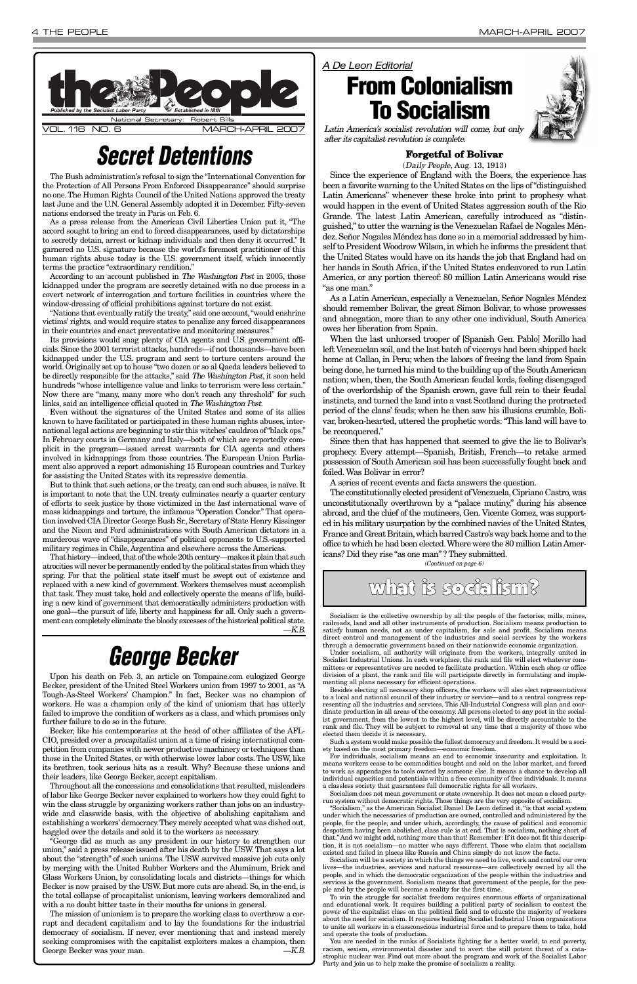#### **Forgetful of Bolivar**

(Daily People, Aug. 13, 1913)

Since the experience of England with the Boers, the experience has been a favorite warning to the United States on the lips of "distinguished Latin Americans" whenever these broke into print to prophesy what would happen in the event of United States aggression south of the Rio Grande. The latest Latin American, carefully introduced as "distinguished," to utter the warning is the Venezuelan Rafael de Nogales Méndez.Señor Nogales Méndez has done so in a memorial addressed by himself to President Woodrow Wilson, in which he informs the president that the United States would have on its hands the job that England had on her hands in South Africa, if the United States endeavored to run Latin America, or any portion thereof: 80 million Latin Americans would rise "as one man."

As a Latin American, especially a Venezuelan, Señor Nogales Méndez should remember Bolivar, the great Simon Bolivar, to whose prowesses and abnegation, more than to any other one individual, South America owes her liberation from Spain.

When the last unhorsed trooper of [Spanish Gen. Pablo] Morillo had left Venezuelan soil, and the last batch of viceroys had been shipped back home at Callao, in Peru; when the labors of freeing the land from Spain being done, he turned his mind to the building up of the South American nation; when, then, the South American feudal lords, feeling disengaged of the overlordship of the Spanish crown, gave full rein to their feudal instincts, and turned the land into a vast Scotland during the protracted period of the clans' feuds; when he then saw his illusions crumble, Bolivar, broken-hearted, uttered the prophetic words: "This land will have to be reconquered."

Since then that has happened that seemed to give the lie to Bolivar's prophecy. Every attempt—Spanish, British, French—to retake armed possession of South American soil has been successfully fought back and foiled. Was Bolivar in error?

A series of recent events and facts answers the question.

The constitutionally elected president of Venezuela,Cipriano Castro,was unconstitutionally overthrown by a "palace mutiny," during his absence abroad, and the chief of the mutineers, Gen. Vicente Gomez, was supported in his military usurpation by the combined navies of the United States, France and Great Britain,which barred Castro's way back home and to the office to which he had been elected.Where were the 80 million Latin Americans? Did they rise "as one man" ? They submitted.



The Bush administration's refusal to sign the "International Convention for the Protection of All Persons From Enforced Disappearance" should surprise no one.The Human Rights Council of the United Nations approved the treaty last June and the U.N. General Assembly adopted it in December. Fifty-seven nations endorsed the treaty in Paris on Feb. 6.

As a press release from the American Civil Liberties Union put it, "The accord sought to bring an end to forced disappearances, used by dictatorships to secretly detain, arrest or kidnap individuals and then deny it occurred." It garnered no U.S. signature because the world's foremost practitioner of this human rights abuse today is the U.S. government itself, which innocently terms the practice "extraordinary rendition."

That history—indeed, that of the whole 20th century—makes it plain that such atrocities will never be permanently ended by the political states from which they spring. For that the political state itself must be swept out of existence and replaced with a new kind of government. Workers themselves must accomplish that task. They must take, hold and collectively operate the means of life, building a new kind of government that democratically administers production with one goal—the pursuit of life, liberty and happiness for all. Only such a government can completely eliminate the bloody excesses of the historical political state. —K.B.

According to an account published in The Washington Post in 2005, those kidnapped under the program are secretly detained with no due process in a covert network of interrogation and torture facilities in countries where the window-dressing of official prohibitions against torture do not exist.

"Nations that eventually ratify the treaty," said one account,"would enshrine victims' rights, and would require states to penalize any forced disappearances in their countries and enact preventative and monitoring measures."

The mission of unionism is to prepare the working class to overthrow a corrupt and decadent capitalism and to lay the foundations for the industrial democracy of socialism. If never, ever mentioning that and instead merely seeking compromises with the capitalist exploiters makes a champion, then George Becker was your man.  $-KB$ .

Its provisions would snag plenty of CIA agents and U.S. government officials. Since the 2001 terrorist attacks, hundreds—if not thousands—have been kidnapped under the U.S. program and sent to torture centers around the world. Originally set up to house "two dozen or so al Qaeda leaders believed to be directly responsible for the attacks," said The Washington Post, it soon held hundreds "whose intelligence value and links to terrorism were less certain." Now there are "many, many more who don't reach any threshold" for such links, said an intelligence official quoted in The Washington Post.

Even without the signatures of the United States and some of its allies known to have facilitated or participated in these human rights abuses, international legal actions are beginning to stir this witches' cauldron of "black ops." In February courts in Germany and Italy—both of which are reportedly complicit in the program—issued arrest warrants for CIA agents and others involved in kidnappings from those countries. The European Union Parliament also approved a report admonishing 15 European countries and Turkey for assisting the United States with its repressive dementia.

But to think that such actions, or the treaty, can end such abuses, is naïve. It is important to note that the U.N. treaty culminates nearly a quarter century of efforts to seek justice by those victimized in the last international wave of mass kidnappings and torture, the infamous "Operation Condor." That operation involved CIA Director George Bush Sr.,Secretary of State Henry Kissinger and the Nixon and Ford administrations with South American dictators in a murderous wave of "disappearances" of political opponents to U.S.-supported military regimes in Chile, Argentina and elsewhere across the Americas.



### **Secret Detentions**

Upon his death on Feb. 3, an article on Tompaine.com eulogized George Becker, president of the United Steel Workers union from 1997 to 2001, as "A Tough-As-Steel Workers' Champion." In fact, Becker was no champion of workers. He was a champion only of the kind of unionism that has utterly failed to improve the condition of workers as a class, and which promises only further failure to do so in the future.

Becker, like his contemporaries at the head of other affiliates of the AFL-CIO, presided over a procapitalist union at a time of rising international competition from companies with newer productive machinery or techniques than those in the United States, or with otherwise lower labor costs. The USW, like its brethren, took serious hits as a result. Why? Because these unions and their leaders, like George Becker, accept capitalism.

Throughout all the concessions and consolidations that resulted, misleaders of labor like George Becker never explained to workers how they could fight to win the class struggle by organizing workers rather than jobs on an industrywide and classwide basis, with the objective of abolishing capitalism and establishing a workers' democracy.They merely accepted what was dished out, haggled over the details and sold it to the workers as necessary.

"George did as much as any president in our history to strengthen our union," said a press release issued after his death by the USW. That says a lot about the "strength" of such unions. The USW survived massive job cuts only by merging with the United Rubber Workers and the Aluminum, Brick and Glass Workers Union, by consolidating locals and districts—things for which Becker is now praised by the USW. But more cuts are ahead. So, in the end, is the total collapse of procapitalist unionism, leaving workers demoralized and with a no doubt bitter taste in their mouths for unions in general.

### **George Becker**

Socialism is the collective ownership by all the people of the factories, mills, mines, railroads, land and all other instruments of production. Socialism means production to satisfy human needs, not as under capitalism, for sale and profit. Socialism means direct control and management of the industries and social services by the workers through a democratic government based on their nationwide economic organization.

Under socialism, all authority will originate from the workers, integrally united in Socialist Industrial Unions. In each workplace, the rank and file will elect whatever committees or representatives are needed to facilitate production. Within each shop or office division of a plant, the rank and file will participate directly in formulating and implementing all plans necessary for efficient operations.

Besides electing all necessary shop officers, the workers will also elect representatives to a local and national council of their industry or service—and to a central congress representing all the industries and services. This All-Industrial Congress will plan and coordinate production in all areas of the economy. All persons elected to any post in the socialist government, from the lowest to the highest level, will be directly accountable to the rank and file. They will be subject to removal at any time that a majority of those who elected them decide it is necessary.

Such a system would make possible the fullest democracy and freedom. It would be a society based on the most primary freedom—economic freedom.

For individuals, socialism means an end to economic insecurity and exploitation. It means workers cease to be commodities bought and sold on the labor market, and forced to work as appendages to tools owned by someone else. It means a chance to develop all individual capacities and potentials within a free community of free individuals. It means a classless society that guarantees full democratic rights for all workers.

Socialism does not mean government or state ownership. It does not mean a closed partyrun system without democratic rights. Those things are the very opposite of socialism.

"Socialism," as the American Socialist Daniel De Leon defined it, "is that social system under which the necessaries of production are owned, controlled and administered by the people, for the people, and under which, accordingly, the cause of political and economic despotism having been abolished, class rule is at end. That is socialism, nothing short of that." And we might add, nothing more than that! Remember: If it does not fit this description, it is not socialism—no matter who says different. Those who claim that socialism existed and failed in places like Russia and China simply do not know the facts.

Socialism will be a society in which the things we need to live, work and control our own lives—the industries, services and natural resources—are collectively owned by all the people, and in which the democratic organization of the people within the industries and services is the government. Socialism means that government of the people, for the people and by the people will become a reality for the first time.

To win the struggle for socialist freedom requires enormous efforts of organizational and educational work. It requires building a political party of socialism to contest the power of the capitalist class on the political field and to educate the majority of workers about the need for socialism. It requires building Socialist Industrial Union organizations to unite all workers in a classconscious industrial force and to prepare them to take, hold and operate the tools of production.

You are needed in the ranks of Socialists fighting for a better world, to end poverty, racism, sexism, environmental disaster and to avert the still potent threat of a catastrophic nuclear war. Find out more about the program and work of the Socialist Labor Party and join us to help make the promise of socialism a reality.

(Continued on page 6)

### what is socialism?



Latin America's socialist revolution will come, but only after its capitalist revolution is complete.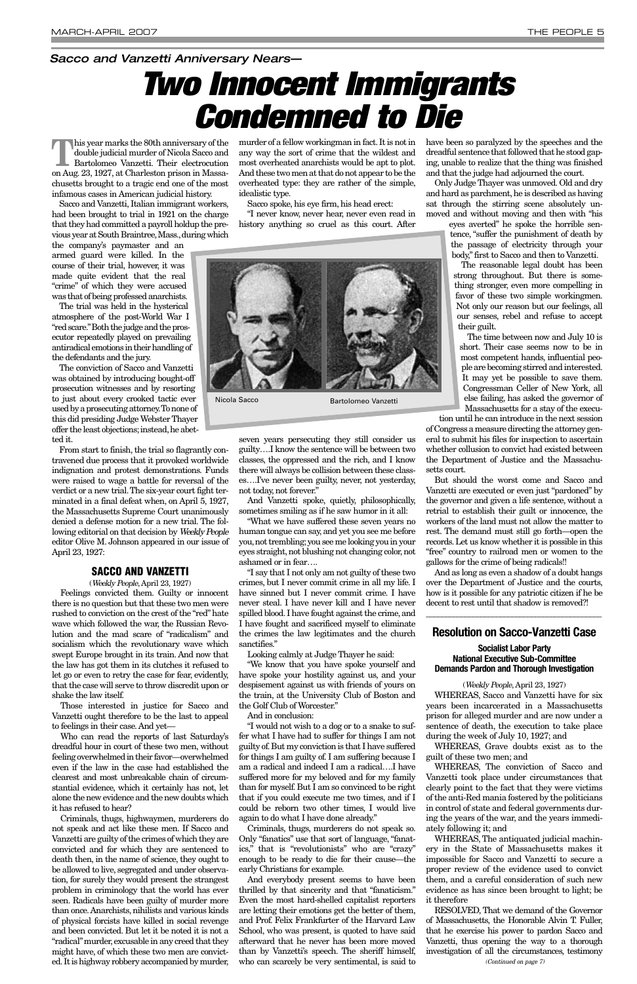**T**his year marks the 80th anniversary of the double judicial murder of Nicola Sacco and Bartolomeo Vanzetti. Their electrocution on Aug. 23, 1927, at Charleston prison in Massachusetts brought to a tragic end one of the most infamous cases in American judicial history.

Sacco and Vanzetti, Italian immigrant workers, had been brought to trial in 1921 on the charge that they had committed a payroll holdup the previous year at South Braintree,Mass.,during which

the company's paymaster and an armed guard were killed. In the course of their trial, however, it was made quite evident that the real "crime" of which they were accused was that of being professed anarchists.

The trial was held in the hysterical atmosphere of the post-World War I "red scare."Both the judge and the prosecutor repeatedly played on prevailing antiradical emotions in their handling of the defendants and the jury.

The conviction of Sacco and Vanzetti was obtained by introducing bought-off prosecution witnesses and by resorting to just about every crooked tactic ever used by a prosecuting attorney.Tonone of this did presiding Judge Webster Thayer offer the least objections;instead,he abetted it.

From start to finish, the trial so flagrantly contravened due process that it provoked worldwide indignation and protest demonstrations. Funds were raised to wage a battle for reversal of the verdict or a new trial.The six-year court fight terminated in a final defeat when, on April 5, 1927, the Massachusetts Supreme Court unanimously denied a defense motion for a new trial. The following editorial on that decision by Weekly People editor Olive M. Johnson appeared in our issue of April 23, 1927:

#### **SACCO AND VANZETTI**

#### (Weekly People, April 23, 1927)

Feelings convicted them. Guilty or innocent there is no question but that these two men were rushed to conviction on the crest of the "red" hate wave which followed the war, the Russian Revolution and the mad scare of "radicalism" and socialism which the revolutionary wave which swept Europe brought in its train. And now that the law has got them in its clutches it refused to let go or even to retry the case for fear, evidently, that the case will serve to throw discredit upon or shake the law itself.

"I say that I not only am not guilty of these two crimes, but I never commit crime in all my life. I have sinned but I never commit crime. I have never steal. I have never kill and I have never spilled blood. I have fought against the crime, and I have fought and sacrificed myself to eliminate the crimes the law legitimates and the church sanctifies."

Those interested in justice for Sacco and Vanzetti ought therefore to be the last to appeal

to feelings in their case.And yet—

Who can read the reports of last Saturday's dreadful hour in court of these two men, without feeling overwhelmed in their favor—overwhelmed even if the law in the case had established the clearest and most unbreakable chain of circumstantial evidence, which it certainly has not, let alone the new evidence and the new doubts which it has refused to hear?

Criminals, thugs, highwaymen, murderers do not speak and act like these men. If Sacco and Vanzetti are guilty of the crimes of which they are convicted and for which they are sentenced to death then, in the name of science, they ought to be allowed to live, segregated and under observation, for surely they would present the strangest problem in criminology that the world has ever seen. Radicals have been guilty of murder more than once.Anarchists, nihilists and various kinds of physical forcists have killed in social revenge and been convicted. But let it be noted it is not a "radical" murder, excusable in any creed that they might have, of which these two men are convicted.It is highway robbery accompanied by murder, murder of a fellow workingman in fact.It is not in any way the sort of crime that the wildest and most overheated anarchists would be apt to plot. And these two men at that do not appear to be the overheated type: they are rather of the simple, idealistic type.

Sacco spoke, his eye firm, his head erect:

"I never know, never hear, never even read in history anything so cruel as this court. After



Nicola Sacco Bartolomeo Vanzetti

seven years persecuting they still consider us guilty….I know the sentence will be between two classes, the oppressed and the rich, and I know there will always be collision between these classes….I've never been guilty, never, not yesterday, not today, not forever."

And Vanzetti spoke, quietly, philosophically, sometimes smiling as if he saw humor in it all:

"What we have suffered these seven years no human tongue can say, and yet you see me before you,not trembling;you see me looking you in your eyes straight, not blushing not changing color, not ashamed or in fear….

Looking calmly at Judge Thayer he said:

"We know that you have spoke yourself and have spoke your hostility against us, and your despisement against us with friends of yours on the train, at the University Club of Boston and the Golf Club of Worcester."

And in conclusion: "I would not wish to a dog or to a snake to suffer what I have had to suffer for things I am not guilty of.But my conviction is that I have suffered for things I am guilty of. I am suffering because I am a radical and indeed I am a radical….I have suffered more for my beloved and for my family than for myself. But I am so convinced to be right that if you could execute me two times, and if I could be reborn two other times, I would live again to do what I have done already." Criminals, thugs, murderers do not speak so. Only "fanatics" use that sort of language, "fanatics," that is "revolutionists" who are "crazy" enough to be ready to die for their cause—the early Christians for example. And everybody present seems to have been thrilled by that sincerity and that "fanaticism." Even the most hard-shelled capitalist reporters are letting their emotions get the better of them, and Prof. Felix Frankfurter of the Harvard Law School, who was present, is quoted to have said afterward that he never has been more moved than by Vanzetti's speech. The sheriff himself, who can scarcely be very sentimental, is said to have been so paralyzed by the speeches and the dreadful sentence that followed that he stood gaping, unable to realize that the thing was finished and that the judge had adjourned the court.

Only Judge Thayer was unmoved. Old and dry and hard as parchment, he is described as having sat through the stirring scene absolutely unmoved and without moving and then with "his

> eyes averted" he spoke the horrible sentence, "suffer the punishment of death by the passage of electricity through your body," first to Sacco and then to Vanzetti.

The reasonable legal doubt has been strong throughout. But there is something stronger, even more compelling in favor of these two simple workingmen. Not only our reason but our feelings, all our senses, rebel and refuse to accept their guilt.

The time between now and July 10 is short. Their case seems now to be in most competent hands, influential people are becoming stirred and interested. It may yet be possible to save them. Congressman Celler of New York, all else failing, has asked the governor of Massachusetts for a stay of the execu-

tion until he can introduce in the next session of Congress a measure directing the attorney general to submit his files for inspection to ascertain whether collusion to convict had existed between the Department of Justice and the Massachu-

setts court.

But should the worst come and Sacco and Vanzetti are executed or even just "pardoned" by the governor and given a life sentence, without a retrial to establish their guilt or innocence, the workers of the land must not allow the matter to rest. The demand must still go forth—open the records. Let us know whether it is possible in this "free" country to railroad men or women to the gallows for the crime of being radicals!!

And as long as even a shadow of a doubt hangs over the Department of Justice and the courts, how is it possible for any patriotic citizen if he be decent to rest until that shadow is removed?!

\_\_\_\_\_\_\_\_\_\_\_\_\_\_\_\_\_\_\_\_\_\_\_\_\_\_\_\_\_\_\_\_\_\_\_\_\_\_\_\_\_\_\_\_\_

#### **Resolution on Sacco-Vanzetti Case**

#### **Socialist Labor Party National Executive Sub-Committee Demands Pardon and Thorough Investigation**

(Weekly People, April 23, 1927)

WHEREAS, Sacco and Vanzetti have for six years been incarcerated in a Massachusetts prison for alleged murder and are now under a sentence of death, the execution to take place during the week of July 10, 1927; and

WHEREAS, Grave doubts exist as to the guilt of these two men; and

WHEREAS, The conviction of Sacco and Vanzetti took place under circumstances that clearly point to the fact that they were victims of the anti-Red mania fostered by the politicians in control of state and federal governments during the years of the war, and the years immediately following it; and

WHEREAS, The antiquated judicial machinery in the State of Massachusetts makes it impossible for Sacco and Vanzetti to secure a proper review of the evidence used to convict them, and a careful consideration of such new evidence as has since been brought to light; be it therefore

RESOLVED, That we demand of the Governor of Massachusetts, the Honorable Alvin T. Fuller, that he exercise his power to pardon Sacco and Vanzetti, thus opening the way to a thorough investigation of all the circumstances, testimony

## **Two Innocent Immigrants Condemned to Die**

#### Sacco and Vanzetti Anniversary Nears—

(Continued on page 7)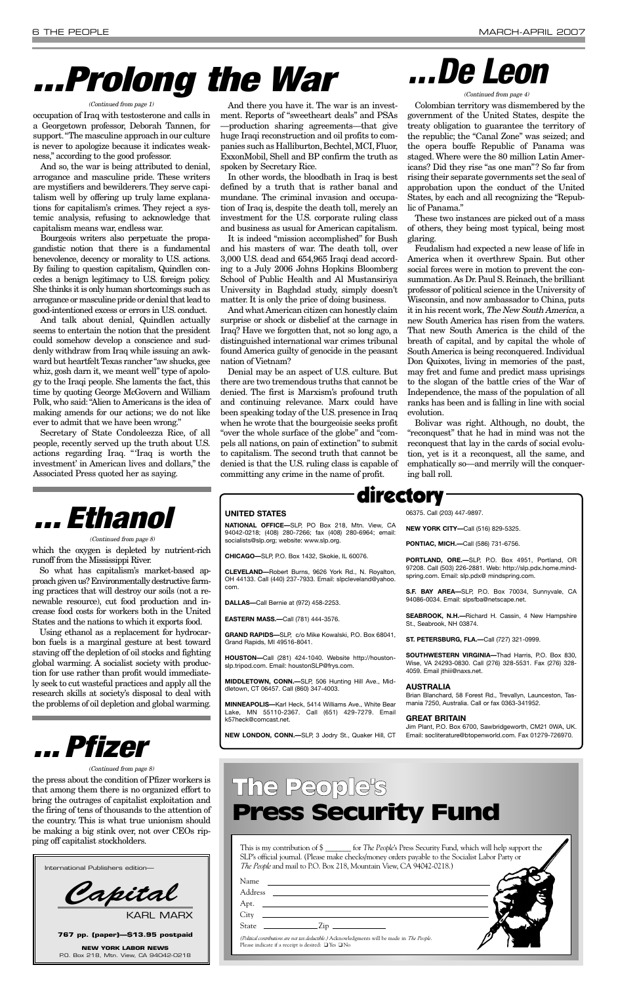

occupation of Iraq with testosterone and calls in a Georgetown professor, Deborah Tannen, for support."The masculine approach in our culture is never to apologize because it indicates weakness," according to the good professor.

And so, the war is being attributed to denial, arrogance and masculine pride. These writers are mystifiers and bewilderers. They serve capitalism well by offering up truly lame explanations for capitalism's crimes. They reject a systemic analysis, refusing to acknowledge that capitalism means war, endless war.

Bourgeois writers also perpetuate the propagandistic notion that there is a fundamental benevolence, decency or morality to U.S. actions. By failing to question capitalism, Quindlen concedes a benign legitimacy to U.S. foreign policy. She thinks it is only human shortcomings such as arrogance or masculine pride or denial that lead to good-intentioned excess or errors in U.S. conduct.

And talk about denial, Quindlen actually seems to entertain the notion that the president could somehow develop a conscience and suddenly withdraw from Iraq while issuing an awkward but heartfelt Texas rancher "aw shucks,gee whiz, gosh darn it, we meant well" type of apology to the Iraqi people. She laments the fact, this time by quoting George McGovern and William Polk, who said: "Alien to Americans is the idea of making amends for our actions; we do not like ever to admit that we have been wrong."

Secretary of State Condoleezza Rice, of all people, recently served up the truth about U.S. actions regarding Iraq. "'Iraq is worth the investment' in American lives and dollars," the Associated Press quoted her as saying.

And there you have it. The war is an investment. Reports of "sweetheart deals" and PSAs —production sharing agreements—that give huge Iraqi reconstruction and oil profits to companies such as Halliburton,Bechtel,MCI,Fluor, ExxonMobil, Shell and BP confirm the truth as spoken by Secretary Rice.

In other words, the bloodbath in Iraq is best defined by a truth that is rather banal and mundane. The criminal invasion and occupation of Iraq is, despite the death toll, merely an investment for the U.S. corporate ruling class and business as usual for American capitalism.

It is indeed "mission accomplished" for Bush and his masters of war. The death toll, over 3,000 U.S. dead and 654,965 Iraqi dead according to a July 2006 Johns Hopkins Bloomberg School of Public Health and Al Mustansiriya University in Baghdad study, simply doesn't matter. It is only the price of doing business.

And what American citizen can honestly claim surprise or shock or disbelief at the carnage in Iraq? Have we forgotten that, not so long ago, a distinguished international war crimes tribunal found America guilty of genocide in the peasant nation of Vietnam?

Denial may be an aspect of U.S. culture. But there are two tremendous truths that cannot be denied. The first is Marxism's profound truth and continuing relevance. Marx could have been speaking today of the U.S. presence in Iraq when he wrote that the bourgeoisie seeks profit "over the whole surface of the globe" and "compels all nations, on pain of extinction" to submit to capitalism. The second truth that cannot be denied is that the U.S. ruling class is capable of committing any crime in the name of profit.

which the oxygen is depleted by nutrient-rich runoff from the Mississippi River.

So what has capitalism's market-based approach given us? Environmentally destructive farming practices that will destroy our soils (not a renewable resource), cut food production and increase food costs for workers both in the United States and the nations to which it exports food.

Using ethanol as a replacement for hydrocarbon fuels is a marginal gesture at best toward staving off the depletion of oil stocks and fighting global warming. A socialist society with production for use rather than profit would immediately seek to cut wasteful practices and apply all the research skills at society's disposal to deal with the problems of oil depletion and global warming.

## **...Prolong the War**

#### (Continued from page 1)

### **. . . Ethanol**

(Continued from page 8)

the press about the condition of Pfizer workers is that among them there is no organized effort to bring the outrages of capitalist exploitation and the firing of tens of thousands to the attention of the country. This is what true unionism should be making a big stink over, not over CEOs ripping off capitalist stockholders.



(Continued from page 8)

Colombian territory was dismembered by the government of the United States, despite the treaty obligation to guarantee the territory of the republic; the "Canal Zone" was seized; and the opera bouffe Republic of Panama was staged. Where were the 80 million Latin Americans? Did they rise "as one man"? So far from rising their separate governments set the seal of approbation upon the conduct of the United States, by each and all recognizing the "Republic of Panama."

These two instances are picked out of a mass of others, they being most typical, being most glaring.

Feudalism had expected a new lease of life in America when it overthrew Spain. But other social forces were in motion to prevent the consummation.As Dr. Paul S. Reinach, the brilliant professor of political science in the University of Wisconsin, and now ambassador to China, puts it in his recent work, The New South America, a new South America has risen from the waters. That new South America is the child of the breath of capital, and by capital the whole of South America is being reconquered. Individual Don Quixotes, living in memories of the past, may fret and fume and predict mass uprisings to the slogan of the battle cries of the War of Independence, the mass of the population of all ranks has been and is falling in line with social evolution.

Bolivar was right. Although, no doubt, the "reconquest" that he had in mind was not the reconquest that lay in the cards of social evolution, yet is it a reconquest, all the same, and emphatically so—and merrily will the conquering ball roll.

## **...De Leon**

(Continued from page 4)

This is my contribution of \$ \_\_\_\_\_\_\_ for *The People*'s Press Security Fund, which will help support the SLP's official journal. (Please make checks/money orders payable to the Socialist Labor Party or *The People* and mail to P.O. Box 218, Mountain View, CA 94042-0218.)

| Name    | the control of the control of the control of the control of the control of |
|---------|----------------------------------------------------------------------------|
| Address | <u> 1989 - Andrea Andrew Maria (h. 1989).</u>                              |
|         | Apt.                                                                       |
|         |                                                                            |
| State   | $\frac{1}{\sqrt{2i}}$ $\frac{1}{\sqrt{2i}}$                                |

*(Political contributions are not tax deductible.)* Acknowledgments will be made in *The People*. Please indicate if a receipt is desired: ❑ Yes ❑ No

### The People's Press Security Fund

### directory

#### **UNITED STATES**

**NATIONAL OFFICE—**SLP, PO Box 218, Mtn. View, CA 94042-0218; (408) 280-7266; fax (408) 280-6964; email: socialists@slp.org; website: www.slp.org.

**CHICAGO—**SLP, P.O. Box 1432, Skokie, IL 60076.

**CLEVELAND—**Robert Burns, 9626 York Rd., N. Royalton, OH 44133. Call (440) 237-7933. Email: slpcleveland@yahoo. com.

**DALLAS—**Call Bernie at (972) 458-2253.

**EASTERN MASS.—**Call (781) 444-3576.

**GRAND RAPIDS—**SLP, c/o Mike Kowalski, P.O. Box 68041, Grand Rapids, MI 49516-8041.

**HOUSTON—**Call (281) 424-1040. Website http://houstonslp.tripod.com. Email: houstonSLP@frys.com.

**MIDDLETOWN, CONN.—**SLP, 506 Hunting Hill Ave., Middletown, CT 06457. Call (860) 347-4003.

**MINNEAPOLIS—**Karl Heck, 5414 Williams Ave., White Bear Lake, MN 55110-2367. Call (651) 429-7279. Email k57heck@comcast.net.

06375. Call (203) 447-9897.

**NEW YORK CITY—**Call (516) 829-5325.

**PONTIAC, MICH.—**Call (586) 731-6756.

**PORTLAND, ORE.—**SLP, P.O. Box 4951, Portland, OR 97208. Call (503) 226-2881. Web: http://slp.pdx.home.mindspring.com. Email: slp.pdx@ mindspring.com.

**S.F. BAY AREA—**SLP, P.O. Box 70034, Sunnyvale, CA 94086-0034. Email: slpsfba@netscape.net.

**SEABROOK, N.H.—**Richard H. Cassin, 4 New Hampshire St., Seabrook, NH 03874.

**NEW LONDON, CONN.—**SLP, 3 Jodry St., Quaker Hill, CT Email: socliterature@btopenworld.com. Fax 01279-726970.

**ST. PETERSBURG, FLA.—**Call (727) 321-0999.

**SOUTHWESTERN VIRGINIA—**Thad Harris, P.O. Box 830, Wise, VA 24293-0830. Call (276) 328-5531. Fax (276) 328- 4059. Email jthiii@naxs.net.

#### **AUSTRALIA**

Brian Blanchard, 58 Forest Rd., Trevallyn, Launceston, Tasmania 7250, Australia. Call or fax 0363-341952.

#### **GREAT BRITAIN**

Jim Plant, P.O. Box 6700, Sawbridgeworth, CM21 0WA, UK.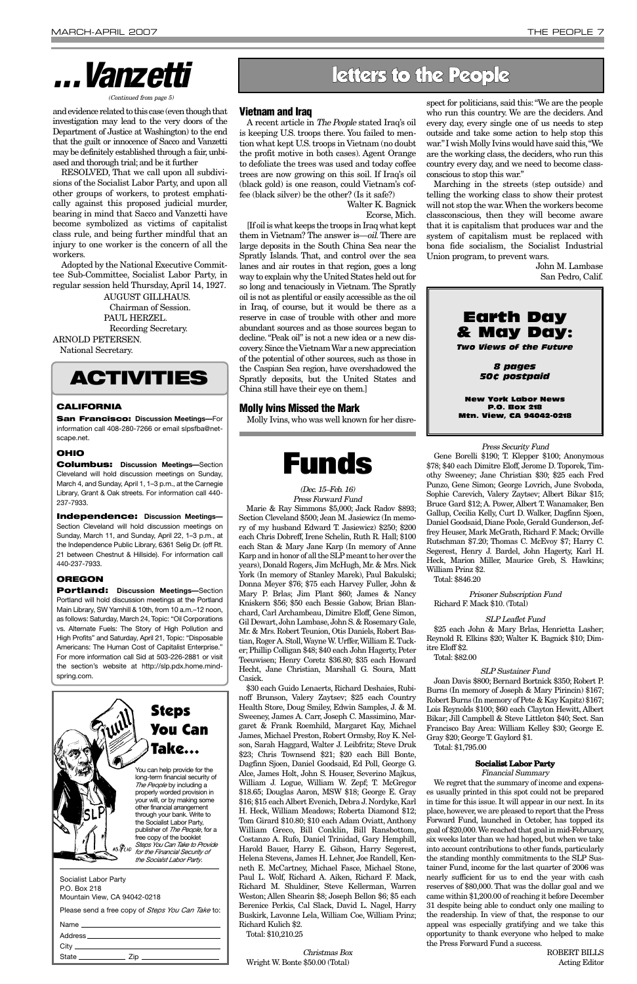#### **Vietnam and Iraq**

A recent article in The People stated Iraq's oil is keeping U.S. troops there. You failed to mention what kept U.S. troops in Vietnam (no doubt the profit motive in both cases). Agent Orange to defoliate the trees was used and today coffee trees are now growing on this soil. If Iraq's oil (black gold) is one reason, could Vietnam's coffee (black silver) be the other? (Is it safe?)

Walter K. Bagnick Ecorse, Mich.

[If oil is what keeps the troops in Iraq what kept them in Vietnam? The answer is—oil. There are large deposits in the South China Sea near the Spratly Islands. That, and control over the sea lanes and air routes in that region, goes a long way to explain why the United States held out for so long and tenaciously in Vietnam. The Spratly oil is not as plentiful or easily accessible as the oil in Iraq, of course, but it would be there as a reserve in case of trouble with other and more abundant sources and as those sources began to decline. "Peak oil" is not a new idea or a new discovery.Since the Vietnam War a new appreciation of the potential of other sources, such as those in the Caspian Sea region, have overshadowed the Spratly deposits, but the United States and China still have their eye on them.]

| Name         |     |
|--------------|-----|
| Address.     |     |
| City         |     |
| <b>State</b> | Zip |

#### **Molly Ivins Missed the Mark**

Molly Ivins, who was well known for her disre-

spect for politicians, said this:"We are the people who run this country. We are the deciders. And every day, every single one of us needs to step outside and take some action to help stop this war."I wish Molly Ivins would have said this,"We are the working class, the deciders, who run this country every day, and we need to become classconscious to stop this war."

Marching in the streets (step outside) and telling the working class to show their protest will not stop the war.When the workers become classconscious, then they will become aware that it is capitalism that produces war and the system of capitalism must be replaced with bona fide socialism, the Socialist Industrial Union program, to prevent wars.

> John M. Lambase San Pedro, Calif.

Socialist Labor Party P.O. Box 218 Mountain View, CA 94042-0218

YCAP

Please send a free copy of *Steps You Can Take* to:



You Can Take...

You can help provide for the long-term financial security of *The People* by including a properly worded provision in your will, or by making some other financial arrangement through your bank. Write to the Socialist Labor Party, publisher of *The People*, for a free copy of the booklet *Steps You Can Take to Provide for the Financial Security of the Socialst Labor Party*.

(Dec. 15–Feb. 16) Press Forward Fund

Marie & Ray Simmons \$5,000; Jack Radov \$893; Section Cleveland \$500; Jean M. Jasiewicz (In memory of my husband Edward T. Jasiewicz) \$250; \$200 each Chris Dobreff, Irene Schelin, Ruth R. Hall; \$100 each Stan & Mary Jane Karp (In memory of Anne Karp and in honor of all the SLP meant to her over the years), Donald Rogers, Jim McHugh, Mr. & Mrs. Nick York (In memory of Stanley Marek), Paul Bakulski; Donna Meyer \$76; \$75 each Harvey Fuller, John & Mary P. Brlas; Jim Plant \$60; James & Nancy Kniskern \$56; \$50 each Bessie Gabow, Brian Blanchard, Carl Archambeau, Dimitre Eloff, Gene Simon, Gil Dewart,John Lambase,John S.& Rosemary Gale, Mr. & Mrs. Robert Teunion, Otis Daniels, Robert Bastian, Roger A. Stoll,Wayne W. Urffer,William E.Tucker; Phillip Colligan \$48; \$40 each John Hagerty, Peter Teeuwisen; Henry Coretz \$36.80; \$35 each Howard Hecht, Jane Christian, Marshall G. Soura, Matt Casick.

\$30 each Guido Lenaerts, Richard Deshaies, Rubinoff Brunson, Valery Zaytsev; \$25 each Country Health Store, Doug Smiley, Edwin Samples, J. & M. Sweeney, James A. Carr, Joseph C. Massimino, Margaret & Frank Roemhild, Margaret Kay, Michael James, Michael Preston, Robert Ormsby, Roy K. Nelson, Sarah Haggard, Walter J. Leibfritz; Steve Druk \$23; Chris Townsend \$21; \$20 each Bill Bonte, Dagfinn Sjoen, Daniel Goodsaid, Ed Poll, George G. Alce, James Holt, John S. Houser, Severino Majkus, William J. Logue, William W. Zepf; T. McGregor \$18.65; Douglas Aaron, MSW \$18; George E. Gray \$16; \$15 each Albert Evenich, Debra J. Nordyke, Karl H. Heck, William Meadows; Roberta Diamond \$12; Tom Girard \$10.80; \$10 each Adam Oviatt, Anthony William Greco, Bill Conklin, Bill Ransbottom, Costanzo A. Rufo, Daniel Trinidad, Gary Hemphill, Harold Bauer, Harry E. Gibson, Harry Segerest, Helena Stevens, James H. Lehner, Joe Randell, Kenneth E. McCartney, Michael Fasce, Michael Stone, Paul L. Wolf, Richard A. Aiken, Richard F. Mack, Richard M. Shuldiner, Steve Kellerman, Warren Weston; Allen Shearin \$8; Joseph Bellon \$6; \$5 each Berenice Perkis, Cal Slack, David L. Nagel, Harry Buskirk, Lavonne Lela, William Coe, William Prinz; Richard Kulich \$2. Total: \$10,210.25

Christmas Box Wright W. Bonte \$50.00 (Total)

#### Press Security Fund

Gene Borelli \$190; T. Klepper \$100; Anonymous \$78; \$40 each Dimitre Eloff, Jerome D. Toporek, Timothy Sweeney; Jane Christian \$30; \$25 each Fred Punzo, Gene Simon; George Lovrich, June Svoboda, Sophie Carevich, Valery Zaytsev; Albert Bikar \$15; Bruce Gard \$12; A. Power, Albert T. Wanamaker, Ben Gallup, Cecilia Kelly, Curt D. Walker, Dagfinn Sjoen, Daniel Goodsaid, Diane Poole, Gerald Gunderson, Jeffrey Heuser, Mark McGrath, Richard F. Mack; Orville Rutschman \$7.20; Thomas C. McEvoy \$7; Harry C. Segerest, Henry J. Bardel, John Hagerty, Karl H. Heck, Marion Miller, Maurice Greb, S. Hawkins; William Prinz \$2.

Total: \$846.20

Prisoner Subscription Fund Richard F. Mack \$10. (Total)

#### SLP Leaflet Fund

\$25 each John & Mary Brlas, Henrietta Lasher; Reynold R. Elkins \$20; Walter K. Bagnick \$10; Dimitre Eloff \$2.

Total: \$82.00

#### SLP Sustainer Fund

Joan Davis \$800; Bernard Bortnick \$350; Robert P. Burns (In memory of Joseph & Mary Pirincin) \$167; Robert Burns (In memory of Pete & Kay Kapitz) \$167; Lois Reynolds \$100; \$60 each Clayton Hewitt, Albert Bikar; Jill Campbell & Steve Littleton \$40; Sect. San

Francisco Bay Area: William Kelley \$30; George E. Gray \$20; George T. Gaylord \$1.

Total: \$1,795.00

#### **Socialist Labor Party**

Financial Summary

We regret that the summary of income and expenses usually printed in this spot could not be prepared in time for this issue. It will appear in our next. In its place, however, we are pleased to report that the Press Forward Fund, launched in October, has topped its goal of \$20,000.We reached that goal in mid-February, six weeks later than we had hoped, but when we take into account contributions to other funds, particularly the standing monthly commitments to the SLP Sustainer Fund, income for the last quarter of 2006 was nearly sufficient for us to end the year with cash reserves of \$80,000. That was the dollar goal and we came within \$1,200.00 of reaching it before December 31 despite being able to conduct only one mailing to the readership. In view of that, the response to our appeal was especially gratifying and we take this opportunity to thank everyone who helped to make the Press Forward Fund a success.

> ROBERT BILLS Acting Editor

**Funds**

## **...Vanzetti**

(Continued from page 5)

### letters to the People

### **ACTIVITIES**

#### **CALIFORNIA**

**San Francisco: Discussion Meetings—**For information call 408-280-7266 or email slpsfba@netscape.net.

#### **OHIO**

**Columbus: Discussion Meetings—**Section Cleveland will hold discussion meetings on Sunday, March 4, and Sunday, April 1, 1–3 p.m., at the Carnegie Library, Grant & Oak streets. For information call 440- 237-7933.

**Independence: Discussion Meetings—** Section Cleveland will hold discussion meetings on Sunday, March 11, and Sunday, April 22, 1–3 p.m., at the Independence Public Library, 6361 Selig Dr. (off Rt. 21 between Chestnut & Hillside). For information call 440-237-7933.

#### **OREGON**

**Portland: Discussion Meetings—**Section Portland will hold discussion meetings at the Portland Main Library, SW Yamhill & 10th, from 10 a.m.–12 noon, as follows: Saturday, March 24, Topic: "Oil Corporations vs. Alternate Fuels: The Story of High Pollution and High Profits" and Saturday, April 21, Topic: "Disposable Americans: The Human Cost of Capitalist Enterprise." For more information call Sid at 503-226-2881 or visit the section's website at http://slp.pdx.home.mindspring.com.

and evidence related to this case (even though that investigation may lead to the very doors of the Department of Justice at Washington) to the end that the guilt or innocence of Sacco and Vanzetti may be definitely established through a fair, unbiased and thorough trial; and be it further

RESOLVED, That we call upon all subdivisions of the Socialist Labor Party, and upon all other groups of workers, to protest emphatically against this proposed judicial murder, bearing in mind that Sacco and Vanzetti have become symbolized as victims of capitalist class rule, and being further mindful that an injury to one worker is the concern of all the workers.

Adopted by the National Executive Committee Sub-Committee, Socialist Labor Party, in regular session held Thursday, April 14, 1927.

AUGUST GILLHAUS. Chairman of Session. PAUL HERZEL. Recording Secretary. ARNOLD PETERSEN.

National Secretary.